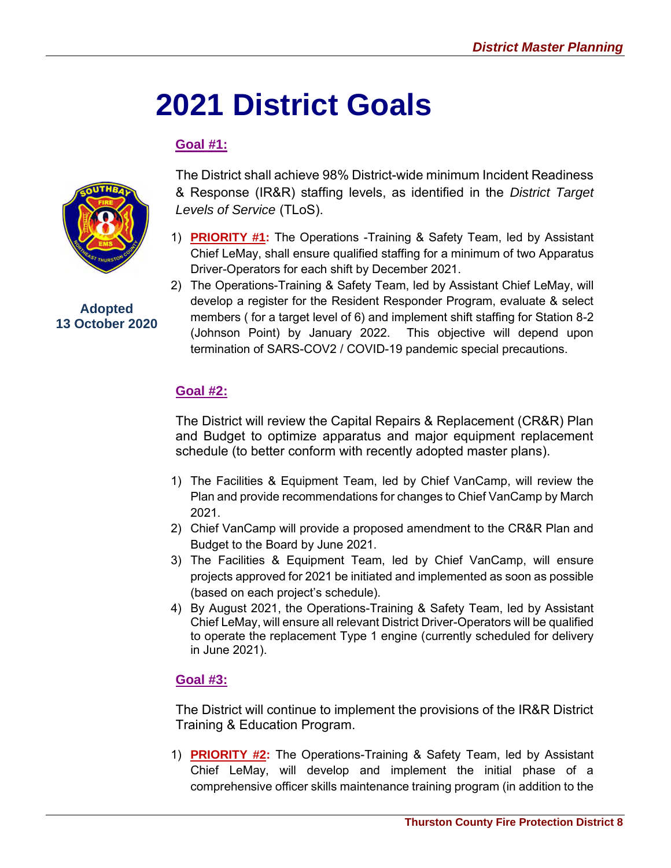# **2021 District Goals**

## **Goal #1:**



**Adopted 13 October 2020**

The District shall achieve 98% District-wide minimum Incident Readiness & Response (IR&R) staffing levels, as identified in the *District Target Levels of Service* (TLoS).

- 1) **PRIORITY #1:** The Operations -Training & Safety Team, led by Assistant Chief LeMay, shall ensure qualified staffing for a minimum of two Apparatus Driver-Operators for each shift by December 2021.
- 2) The Operations-Training & Safety Team, led by Assistant Chief LeMay, will develop a register for the Resident Responder Program, evaluate & select members ( for a target level of 6) and implement shift staffing for Station 8-2 (Johnson Point) by January 2022. This objective will depend upon termination of SARS-COV2 / COVID-19 pandemic special precautions.

## **Goal #2:**

The District will review the Capital Repairs & Replacement (CR&R) Plan and Budget to optimize apparatus and major equipment replacement schedule (to better conform with recently adopted master plans).

- 1) The Facilities & Equipment Team, led by Chief VanCamp, will review the Plan and provide recommendations for changes to Chief VanCamp by March 2021.
- 2) Chief VanCamp will provide a proposed amendment to the CR&R Plan and Budget to the Board by June 2021.
- 3) The Facilities & Equipment Team, led by Chief VanCamp, will ensure projects approved for 2021 be initiated and implemented as soon as possible (based on each project's schedule).
- 4) By August 2021, the Operations-Training & Safety Team, led by Assistant Chief LeMay, will ensure all relevant District Driver-Operators will be qualified to operate the replacement Type 1 engine (currently scheduled for delivery in June 2021).

### **Goal #3:**

The District will continue to implement the provisions of the IR&R District Training & Education Program.

1) **PRIORITY #2:** The Operations-Training & Safety Team, led by Assistant Chief LeMay, will develop and implement the initial phase of a comprehensive officer skills maintenance training program (in addition to the